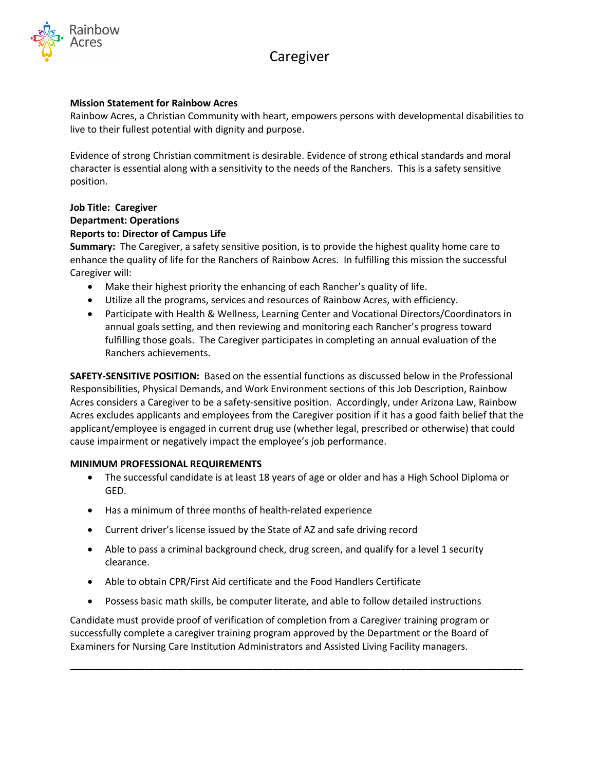# Caregiver



# **Mission Statement for Rainbow Acres**

Rainbow Acres, a Christian Community with heart, empowers persons with developmental disabilities to live to their fullest potential with dignity and purpose.

Evidence of strong Christian commitment is desirable. Evidence of strong ethical standards and moral character is essential along with a sensitivity to the needs of the Ranchers. This is a safety sensitive position.

# **Job Title: Caregiver Department: Operations Reports to: Director of Campus Life**

**Summary:** The Caregiver, a safety sensitive position, is to provide the highest quality home care to enhance the quality of life for the Ranchers of Rainbow Acres. In fulfilling this mission the successful Caregiver will:

- Make their highest priority the enhancing of each Rancher's quality of life.
- Utilize all the programs, services and resources of Rainbow Acres, with efficiency.
- Participate with Health & Wellness, Learning Center and Vocational Directors/Coordinators in annual goals setting, and then reviewing and monitoring each Rancher's progress toward fulfilling those goals. The Caregiver participates in completing an annual evaluation of the Ranchers achievements.

**SAFETY-SENSITIVE POSITION:** Based on the essential functions as discussed below in the Professional Responsibilities, Physical Demands, and Work Environment sections of this Job Description, Rainbow Acres considers a Caregiver to be a safety-sensitive position. Accordingly, under Arizona Law, Rainbow Acres excludes applicants and employees from the Caregiver position if it has a good faith belief that the applicant/employee is engaged in current drug use (whether legal, prescribed or otherwise) that could cause impairment or negatively impact the employee's job performance.

# **MINIMUM PROFESSIONAL REQUIREMENTS**

- The successful candidate is at least 18 years of age or older and has a High School Diploma or GED.
- Has a minimum of three months of health-related experience
- Current driver's license issued by the State of AZ and safe driving record
- Able to pass a criminal background check, drug screen, and qualify for a level 1 security clearance.
- Able to obtain CPR/First Aid certificate and the Food Handlers Certificate
- Possess basic math skills, be computer literate, and able to follow detailed instructions

Candidate must provide proof of verification of completion from a Caregiver training program or successfully complete a caregiver training program approved by the Department or the Board of Examiners for Nursing Care Institution Administrators and Assisted Living Facility managers.

**\_\_\_\_\_\_\_\_\_\_\_\_\_\_\_\_\_\_\_\_\_\_\_\_\_\_\_\_\_\_\_\_\_\_\_\_\_\_\_\_\_\_\_\_\_\_\_\_\_\_\_\_\_\_\_\_\_\_\_\_\_\_\_\_\_\_\_\_\_\_\_\_\_\_\_\_\_\_\_\_\_\_\_\_\_**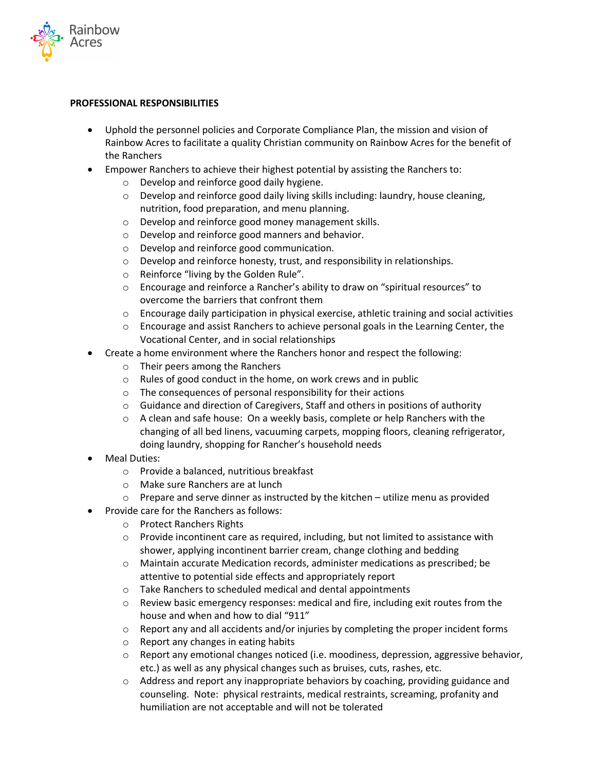

#### **PROFESSIONAL RESPONSIBILITIES**

- Uphold the personnel policies and Corporate Compliance Plan, the mission and vision of Rainbow Acres to facilitate a quality Christian community on Rainbow Acres for the benefit of the Ranchers
- Empower Ranchers to achieve their highest potential by assisting the Ranchers to:
	- o Develop and reinforce good daily hygiene.
	- o Develop and reinforce good daily living skills including: laundry, house cleaning, nutrition, food preparation, and menu planning.
	- o Develop and reinforce good money management skills.
	- o Develop and reinforce good manners and behavior.
	- o Develop and reinforce good communication.
	- o Develop and reinforce honesty, trust, and responsibility in relationships.
	- o Reinforce "living by the Golden Rule".
	- o Encourage and reinforce a Rancher's ability to draw on "spiritual resources" to overcome the barriers that confront them
	- $\circ$  Encourage daily participation in physical exercise, athletic training and social activities
	- o Encourage and assist Ranchers to achieve personal goals in the Learning Center, the Vocational Center, and in social relationships
- Create a home environment where the Ranchers honor and respect the following:
	- o Their peers among the Ranchers
	- o Rules of good conduct in the home, on work crews and in public
	- o The consequences of personal responsibility for their actions
	- $\circ$  Guidance and direction of Caregivers, Staff and others in positions of authority
	- $\circ$  A clean and safe house: On a weekly basis, complete or help Ranchers with the changing of all bed linens, vacuuming carpets, mopping floors, cleaning refrigerator, doing laundry, shopping for Rancher's household needs
- Meal Duties:
	- o Provide a balanced, nutritious breakfast
	- o Make sure Ranchers are at lunch
	- $\circ$  Prepare and serve dinner as instructed by the kitchen utilize menu as provided
	- Provide care for the Ranchers as follows:
		- o Protect Ranchers Rights
		- $\circ$  Provide incontinent care as required, including, but not limited to assistance with shower, applying incontinent barrier cream, change clothing and bedding
		- o Maintain accurate Medication records, administer medications as prescribed; be attentive to potential side effects and appropriately report
		- o Take Ranchers to scheduled medical and dental appointments
		- $\circ$  Review basic emergency responses: medical and fire, including exit routes from the house and when and how to dial "911"
		- $\circ$  Report any and all accidents and/or injuries by completing the proper incident forms
		- o Report any changes in eating habits
		- $\circ$  Report any emotional changes noticed (i.e. moodiness, depression, aggressive behavior, etc.) as well as any physical changes such as bruises, cuts, rashes, etc.
		- $\circ$  Address and report any inappropriate behaviors by coaching, providing guidance and counseling. Note: physical restraints, medical restraints, screaming, profanity and humiliation are not acceptable and will not be tolerated